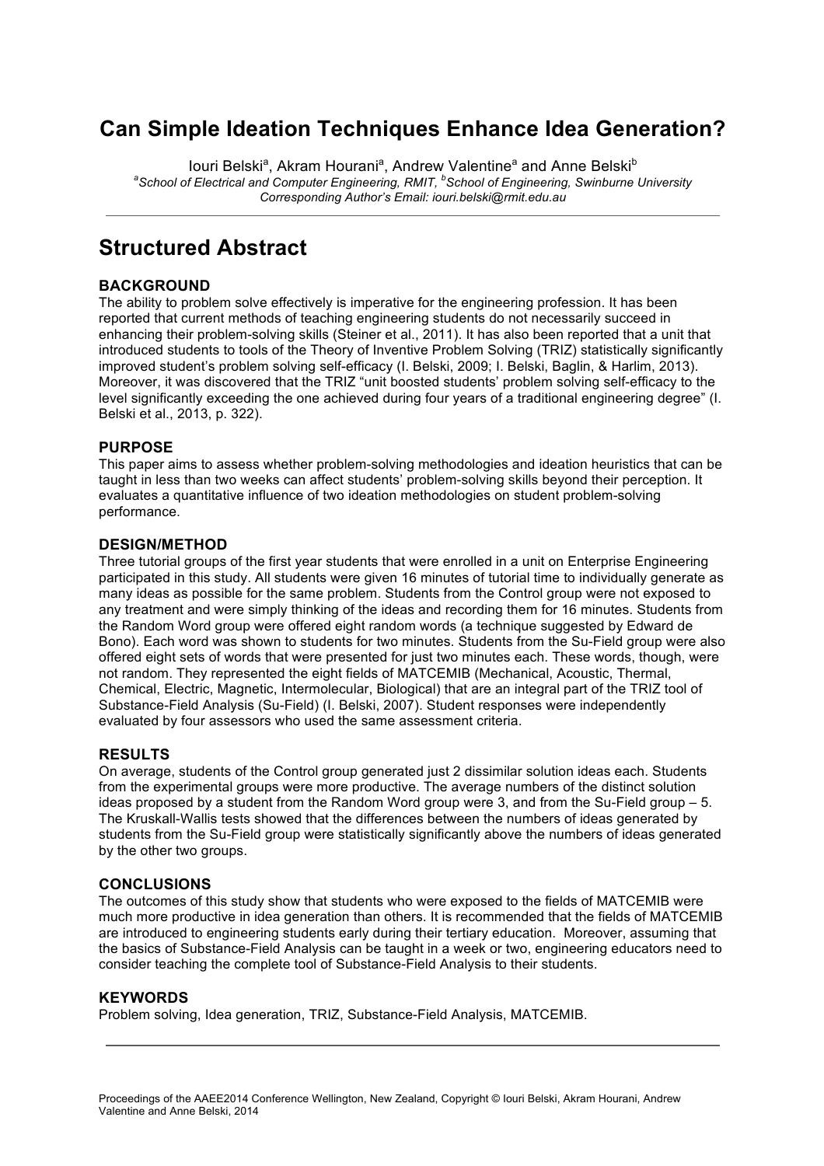## **Can Simple Ideation Techniques Enhance Idea Generation?**

louri Belski<sup>a</sup>, Akram Hourani<sup>a</sup>, Andrew Valentine<sup>a</sup> and Anne Belski<sup>b</sup> an *a* School of Electrical and Computer Engineering, RMIT, <sup>b</sup>School of Engineering, Swinburne University *Corresponding Author's Email: iouri.belski@rmit.edu.au*

## **Structured Abstract**

#### **BACKGROUND**

The ability to problem solve effectively is imperative for the engineering profession. It has been reported that current methods of teaching engineering students do not necessarily succeed in enhancing their problem-solving skills (Steiner et al., 2011). It has also been reported that a unit that introduced students to tools of the Theory of Inventive Problem Solving (TRIZ) statistically significantly improved student's problem solving self-efficacy (I. Belski, 2009; I. Belski, Baglin, & Harlim, 2013). Moreover, it was discovered that the TRIZ "unit boosted students' problem solving self-efficacy to the level significantly exceeding the one achieved during four years of a traditional engineering degree" (I. Belski et al., 2013, p. 322).

#### **PURPOSE**

This paper aims to assess whether problem-solving methodologies and ideation heuristics that can be taught in less than two weeks can affect students' problem-solving skills beyond their perception. It evaluates a quantitative influence of two ideation methodologies on student problem-solving performance.

#### **DESIGN/METHOD**

Three tutorial groups of the first year students that were enrolled in a unit on Enterprise Engineering participated in this study. All students were given 16 minutes of tutorial time to individually generate as many ideas as possible for the same problem. Students from the Control group were not exposed to any treatment and were simply thinking of the ideas and recording them for 16 minutes. Students from the Random Word group were offered eight random words (a technique suggested by Edward de Bono). Each word was shown to students for two minutes. Students from the Su-Field group were also offered eight sets of words that were presented for just two minutes each. These words, though, were not random. They represented the eight fields of MATCEMIB (Mechanical, Acoustic, Thermal, Chemical, Electric, Magnetic, Intermolecular, Biological) that are an integral part of the TRIZ tool of Substance-Field Analysis (Su-Field) (I. Belski, 2007). Student responses were independently evaluated by four assessors who used the same assessment criteria.

#### **RESULTS**

On average, students of the Control group generated just 2 dissimilar solution ideas each. Students from the experimental groups were more productive. The average numbers of the distinct solution ideas proposed by a student from the Random Word group were 3, and from the Su-Field group – 5. The Kruskall-Wallis tests showed that the differences between the numbers of ideas generated by students from the Su-Field group were statistically significantly above the numbers of ideas generated by the other two groups.

#### **CONCLUSIONS**

The outcomes of this study show that students who were exposed to the fields of MATCEMIB were much more productive in idea generation than others. It is recommended that the fields of MATCEMIB are introduced to engineering students early during their tertiary education. Moreover, assuming that the basics of Substance-Field Analysis can be taught in a week or two, engineering educators need to consider teaching the complete tool of Substance-Field Analysis to their students.

#### **KEYWORDS**

Problem solving, Idea generation, TRIZ, Substance-Field Analysis, MATCEMIB.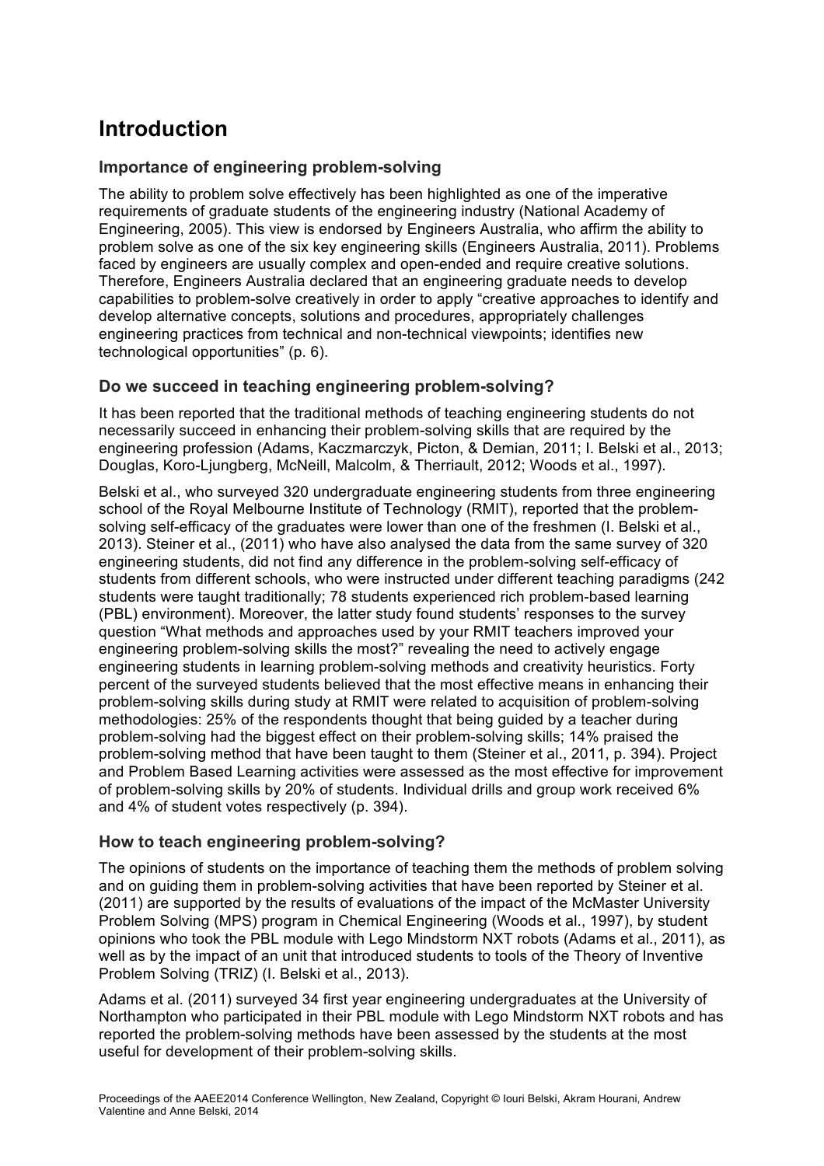# **Introduction**

### **Importance of engineering problem-solving**

The ability to problem solve effectively has been highlighted as one of the imperative requirements of graduate students of the engineering industry (National Academy of Engineering, 2005). This view is endorsed by Engineers Australia, who affirm the ability to problem solve as one of the six key engineering skills (Engineers Australia, 2011). Problems faced by engineers are usually complex and open-ended and require creative solutions. Therefore, Engineers Australia declared that an engineering graduate needs to develop capabilities to problem-solve creatively in order to apply "creative approaches to identify and develop alternative concepts, solutions and procedures, appropriately challenges engineering practices from technical and non-technical viewpoints; identifies new technological opportunities" (p. 6).

### **Do we succeed in teaching engineering problem-solving?**

It has been reported that the traditional methods of teaching engineering students do not necessarily succeed in enhancing their problem-solving skills that are required by the engineering profession (Adams, Kaczmarczyk, Picton, & Demian, 2011; I. Belski et al., 2013; Douglas, Koro-Ljungberg, McNeill, Malcolm, & Therriault, 2012; Woods et al., 1997).

Belski et al., who surveyed 320 undergraduate engineering students from three engineering school of the Royal Melbourne Institute of Technology (RMIT), reported that the problemsolving self-efficacy of the graduates were lower than one of the freshmen (I. Belski et al., 2013). Steiner et al., (2011) who have also analysed the data from the same survey of 320 engineering students, did not find any difference in the problem-solving self-efficacy of students from different schools, who were instructed under different teaching paradigms (242 students were taught traditionally; 78 students experienced rich problem-based learning (PBL) environment). Moreover, the latter study found students' responses to the survey question "What methods and approaches used by your RMIT teachers improved your engineering problem-solving skills the most?" revealing the need to actively engage engineering students in learning problem-solving methods and creativity heuristics. Forty percent of the surveyed students believed that the most effective means in enhancing their problem-solving skills during study at RMIT were related to acquisition of problem-solving methodologies: 25% of the respondents thought that being guided by a teacher during problem-solving had the biggest effect on their problem-solving skills; 14% praised the problem-solving method that have been taught to them (Steiner et al., 2011, p. 394). Project and Problem Based Learning activities were assessed as the most effective for improvement of problem-solving skills by 20% of students. Individual drills and group work received 6% and 4% of student votes respectively (p. 394).

### **How to teach engineering problem-solving?**

The opinions of students on the importance of teaching them the methods of problem solving and on guiding them in problem-solving activities that have been reported by Steiner et al. (2011) are supported by the results of evaluations of the impact of the McMaster University Problem Solving (MPS) program in Chemical Engineering (Woods et al., 1997), by student opinions who took the PBL module with Lego Mindstorm NXT robots (Adams et al., 2011), as well as by the impact of an unit that introduced students to tools of the Theory of Inventive Problem Solving (TRIZ) (I. Belski et al., 2013).

Adams et al. (2011) surveyed 34 first year engineering undergraduates at the University of Northampton who participated in their PBL module with Lego Mindstorm NXT robots and has reported the problem-solving methods have been assessed by the students at the most useful for development of their problem-solving skills.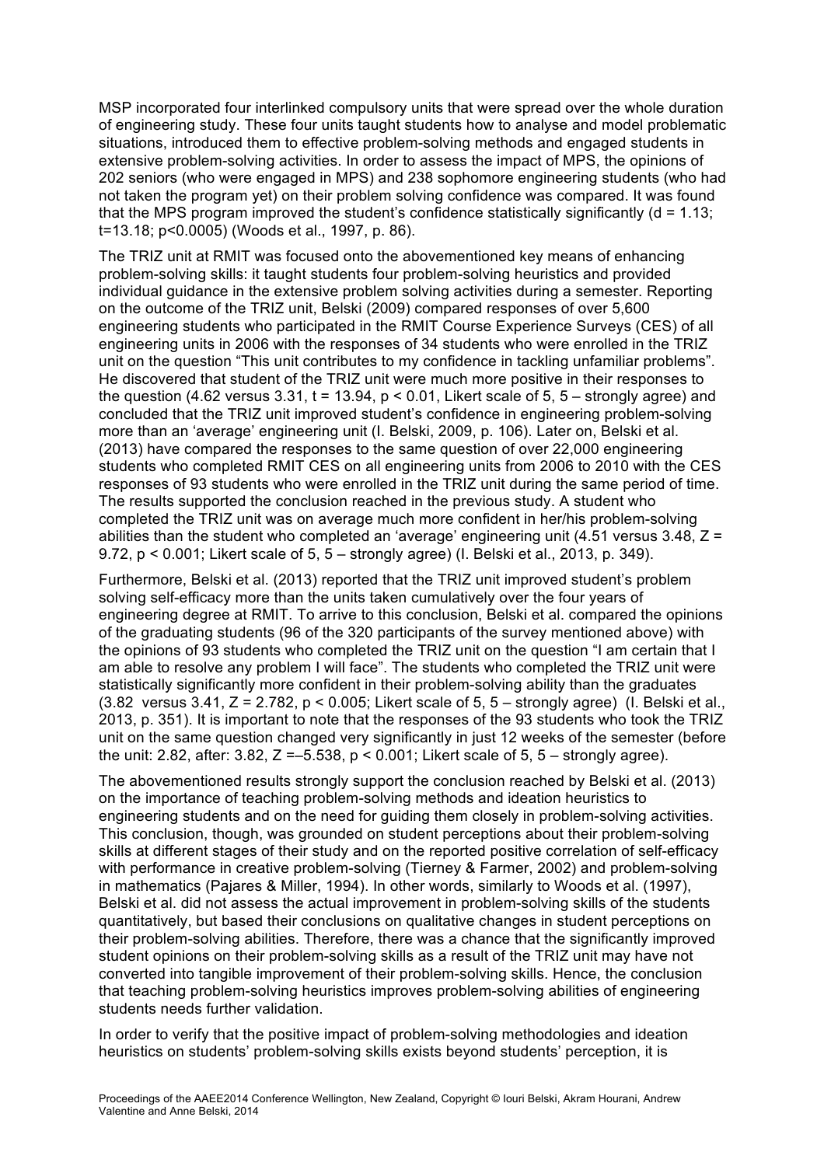MSP incorporated four interlinked compulsory units that were spread over the whole duration of engineering study. These four units taught students how to analyse and model problematic situations, introduced them to effective problem-solving methods and engaged students in extensive problem-solving activities. In order to assess the impact of MPS, the opinions of 202 seniors (who were engaged in MPS) and 238 sophomore engineering students (who had not taken the program yet) on their problem solving confidence was compared. It was found that the MPS program improved the student's confidence statistically significantly  $(d = 1.13$ . t=13.18; p<0.0005) (Woods et al., 1997, p. 86).

The TRIZ unit at RMIT was focused onto the abovementioned key means of enhancing problem-solving skills: it taught students four problem-solving heuristics and provided individual guidance in the extensive problem solving activities during a semester. Reporting on the outcome of the TRIZ unit, Belski (2009) compared responses of over 5,600 engineering students who participated in the RMIT Course Experience Surveys (CES) of all engineering units in 2006 with the responses of 34 students who were enrolled in the TRIZ unit on the question "This unit contributes to my confidence in tackling unfamiliar problems". He discovered that student of the TRIZ unit were much more positive in their responses to the question (4.62 versus 3.31,  $t = 13.94$ ,  $p < 0.01$ , Likert scale of 5, 5 – strongly agree) and concluded that the TRIZ unit improved student's confidence in engineering problem-solving more than an 'average' engineering unit (I. Belski, 2009, p. 106). Later on, Belski et al. (2013) have compared the responses to the same question of over 22,000 engineering students who completed RMIT CES on all engineering units from 2006 to 2010 with the CES responses of 93 students who were enrolled in the TRIZ unit during the same period of time. The results supported the conclusion reached in the previous study. A student who completed the TRIZ unit was on average much more confident in her/his problem-solving abilities than the student who completed an 'average' engineering unit (4.51 versus 3.48, Z = 9.72, p < 0.001; Likert scale of 5, 5 – strongly agree) (I. Belski et al., 2013, p. 349).

Furthermore, Belski et al. (2013) reported that the TRIZ unit improved student's problem solving self-efficacy more than the units taken cumulatively over the four years of engineering degree at RMIT. To arrive to this conclusion, Belski et al. compared the opinions of the graduating students (96 of the 320 participants of the survey mentioned above) with the opinions of 93 students who completed the TRIZ unit on the question "I am certain that I am able to resolve any problem I will face". The students who completed the TRIZ unit were statistically significantly more confident in their problem-solving ability than the graduates  $(3.82 \text{ versus } 3.41, Z = 2.782, p < 0.005;$  Likert scale of  $5, 5 -$  strongly agree) (I. Belski et al., 2013, p. 351). It is important to note that the responses of the 93 students who took the TRIZ unit on the same question changed very significantly in just 12 weeks of the semester (before the unit: 2.82, after: 3.82,  $Z = -5.538$ ,  $p < 0.001$ ; Likert scale of 5, 5 – strongly agree).

The abovementioned results strongly support the conclusion reached by Belski et al. (2013) on the importance of teaching problem-solving methods and ideation heuristics to engineering students and on the need for guiding them closely in problem-solving activities. This conclusion, though, was grounded on student perceptions about their problem-solving skills at different stages of their study and on the reported positive correlation of self-efficacy with performance in creative problem-solving (Tierney & Farmer, 2002) and problem-solving in mathematics (Pajares & Miller, 1994). In other words, similarly to Woods et al. (1997), Belski et al. did not assess the actual improvement in problem-solving skills of the students quantitatively, but based their conclusions on qualitative changes in student perceptions on their problem-solving abilities. Therefore, there was a chance that the significantly improved student opinions on their problem-solving skills as a result of the TRIZ unit may have not converted into tangible improvement of their problem-solving skills. Hence, the conclusion that teaching problem-solving heuristics improves problem-solving abilities of engineering students needs further validation.

In order to verify that the positive impact of problem-solving methodologies and ideation heuristics on students' problem-solving skills exists beyond students' perception, it is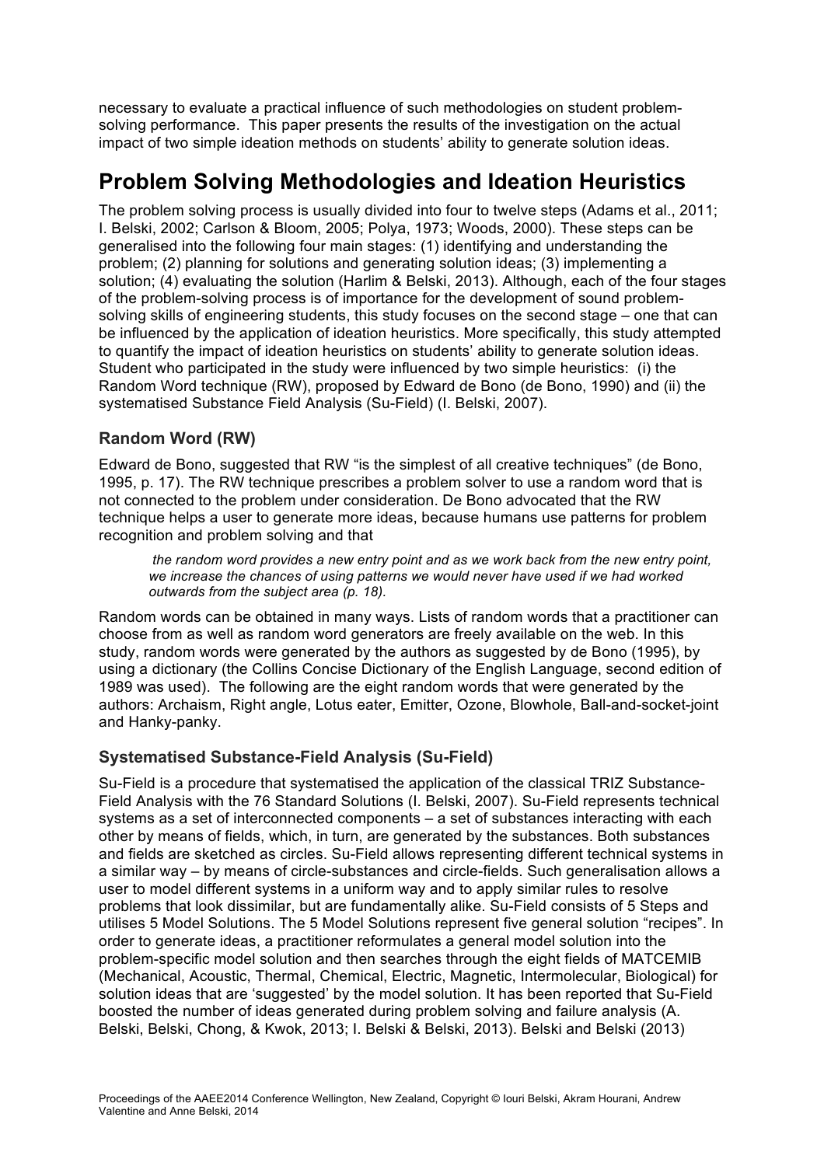necessary to evaluate a practical influence of such methodologies on student problemsolving performance. This paper presents the results of the investigation on the actual impact of two simple ideation methods on students' ability to generate solution ideas.

# **Problem Solving Methodologies and Ideation Heuristics**

The problem solving process is usually divided into four to twelve steps (Adams et al., 2011; I. Belski, 2002; Carlson & Bloom, 2005; Polya, 1973; Woods, 2000). These steps can be generalised into the following four main stages: (1) identifying and understanding the problem; (2) planning for solutions and generating solution ideas; (3) implementing a solution; (4) evaluating the solution (Harlim & Belski, 2013). Although, each of the four stages of the problem-solving process is of importance for the development of sound problemsolving skills of engineering students, this study focuses on the second stage – one that can be influenced by the application of ideation heuristics. More specifically, this study attempted to quantify the impact of ideation heuristics on students' ability to generate solution ideas. Student who participated in the study were influenced by two simple heuristics: (i) the Random Word technique (RW), proposed by Edward de Bono (de Bono, 1990) and (ii) the systematised Substance Field Analysis (Su-Field) (I. Belski, 2007).

### **Random Word (RW)**

Edward de Bono, suggested that RW "is the simplest of all creative techniques" (de Bono, 1995, p. 17). The RW technique prescribes a problem solver to use a random word that is not connected to the problem under consideration. De Bono advocated that the RW technique helps a user to generate more ideas, because humans use patterns for problem recognition and problem solving and that

*the random word provides a new entry point and as we work back from the new entry point, we increase the chances of using patterns we would never have used if we had worked outwards from the subject area (p. 18).* 

Random words can be obtained in many ways. Lists of random words that a practitioner can choose from as well as random word generators are freely available on the web. In this study, random words were generated by the authors as suggested by de Bono (1995), by using a dictionary (the Collins Concise Dictionary of the English Language, second edition of 1989 was used). The following are the eight random words that were generated by the authors: Archaism, Right angle, Lotus eater, Emitter, Ozone, Blowhole, Ball-and-socket-joint and Hanky-panky.

## **Systematised Substance-Field Analysis (Su-Field)**

Su-Field is a procedure that systematised the application of the classical TRIZ Substance-Field Analysis with the 76 Standard Solutions (I. Belski, 2007). Su-Field represents technical systems as a set of interconnected components – a set of substances interacting with each other by means of fields, which, in turn, are generated by the substances. Both substances and fields are sketched as circles. Su-Field allows representing different technical systems in a similar way – by means of circle-substances and circle-fields. Such generalisation allows a user to model different systems in a uniform way and to apply similar rules to resolve problems that look dissimilar, but are fundamentally alike. Su-Field consists of 5 Steps and utilises 5 Model Solutions. The 5 Model Solutions represent five general solution "recipes". In order to generate ideas, a practitioner reformulates a general model solution into the problem-specific model solution and then searches through the eight fields of MATCEMIB (Mechanical, Acoustic, Thermal, Chemical, Electric, Magnetic, Intermolecular, Biological) for solution ideas that are 'suggested' by the model solution. It has been reported that Su-Field boosted the number of ideas generated during problem solving and failure analysis (A. Belski, Belski, Chong, & Kwok, 2013; I. Belski & Belski, 2013). Belski and Belski (2013)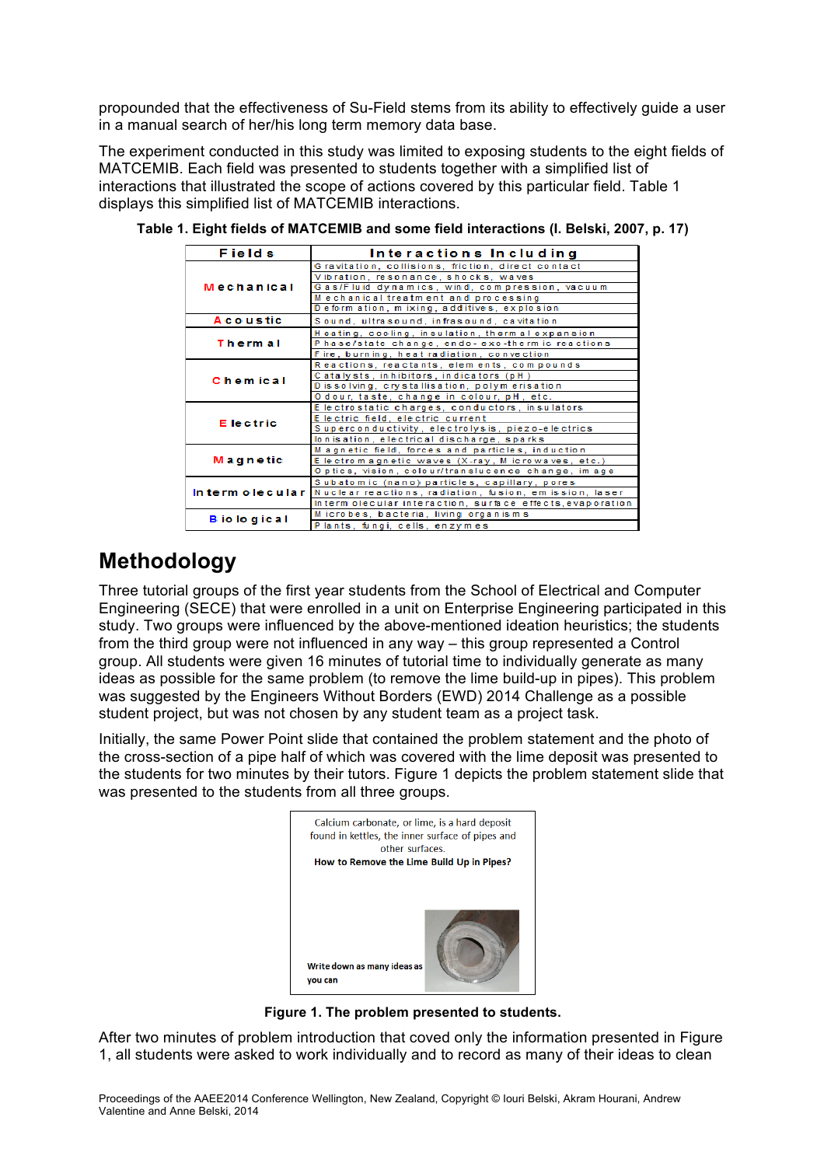propounded that the effectiveness of Su-Field stems from its ability to effectively guide a user in a manual search of her/his long term memory data base.

The experiment conducted in this study was limited to exposing students to the eight fields of MATCEMIB. Each field was presented to students together with a simplified list of interactions that illustrated the scope of actions covered by this particular field. Table 1 displays this simplified list of MATCEMIB interactions.

| <b>Fields</b>       | Interactions Including                                                 |
|---------------------|------------------------------------------------------------------------|
| Mechanical          | Gravitation, collisions, friction, direct contact                      |
|                     | Vibration, resonance, shocks, waves                                    |
|                     | Gas/Fluid dynamics, wind, compression, vacuum                          |
|                     | Mechanical treatment and processing                                    |
|                     | Deform ation, mixing, additives, explosion                             |
| <b>A</b> coustic    | Sound, ultrasound, infrasound, cavitation                              |
| Thermal             | Heating, cooling, insulation, thermal expansion                        |
|                     | Phase/state change, endo-exo-thermic reactions                         |
|                     | Fire, burning, heat radiation, convection                              |
| <b>Chemical</b>     | Reactions, reactants, elements, compounds                              |
|                     | Catalysts, inhibitors, indicators (pH)                                 |
|                     | Dissolving, crystallisation, polymerisation                            |
|                     | Odour, taste, change in colour, pH, etc.                               |
| E lectric           | E le ctro static charges, conductors, insulators                       |
|                     | Electric field, electric current                                       |
|                     | Superconductivity, electrolysis, piezo-electrics                       |
|                     | lonisation, electrical discharge, sparks                               |
| Magnetic            | Magnetic field, forces and particles, induction                        |
|                     | E lectrom agnetic waves (X-ray, M icrowaves, etc.)                     |
|                     | Optics, vision, colour/translucence change, image                      |
|                     | Subatomic (nano) particles, capillary, pores                           |
|                     | In term olecular Nuclear reactions, radiation, fusion, emission, laser |
|                     | Interm olecular interaction, surface effects, evaporation              |
| <b>B</b> io logical | Microbes, bacteria, living organisms                                   |
|                     | Plants, fungi, cells, enzymes                                          |

**Table 1. Eight fields of MATCEMIB and some field interactions (I. Belski, 2007, p. 17)**

## **Methodology**

Three tutorial groups of the first year students from the School of Electrical and Computer Engineering (SECE) that were enrolled in a unit on Enterprise Engineering participated in this study. Two groups were influenced by the above-mentioned ideation heuristics; the students from the third group were not influenced in any way – this group represented a Control group. All students were given 16 minutes of tutorial time to individually generate as many ideas as possible for the same problem (to remove the lime build-up in pipes). This problem was suggested by the Engineers Without Borders (EWD) 2014 Challenge as a possible student project, but was not chosen by any student team as a project task.

Initially, the same Power Point slide that contained the problem statement and the photo of the cross-section of a pipe half of which was covered with the lime deposit was presented to the students for two minutes by their tutors. Figure 1 depicts the problem statement slide that was presented to the students from all three groups.



**Figure 1. The problem presented to students.**

After two minutes of problem introduction that coved only the information presented in Figure 1, all students were asked to work individually and to record as many of their ideas to clean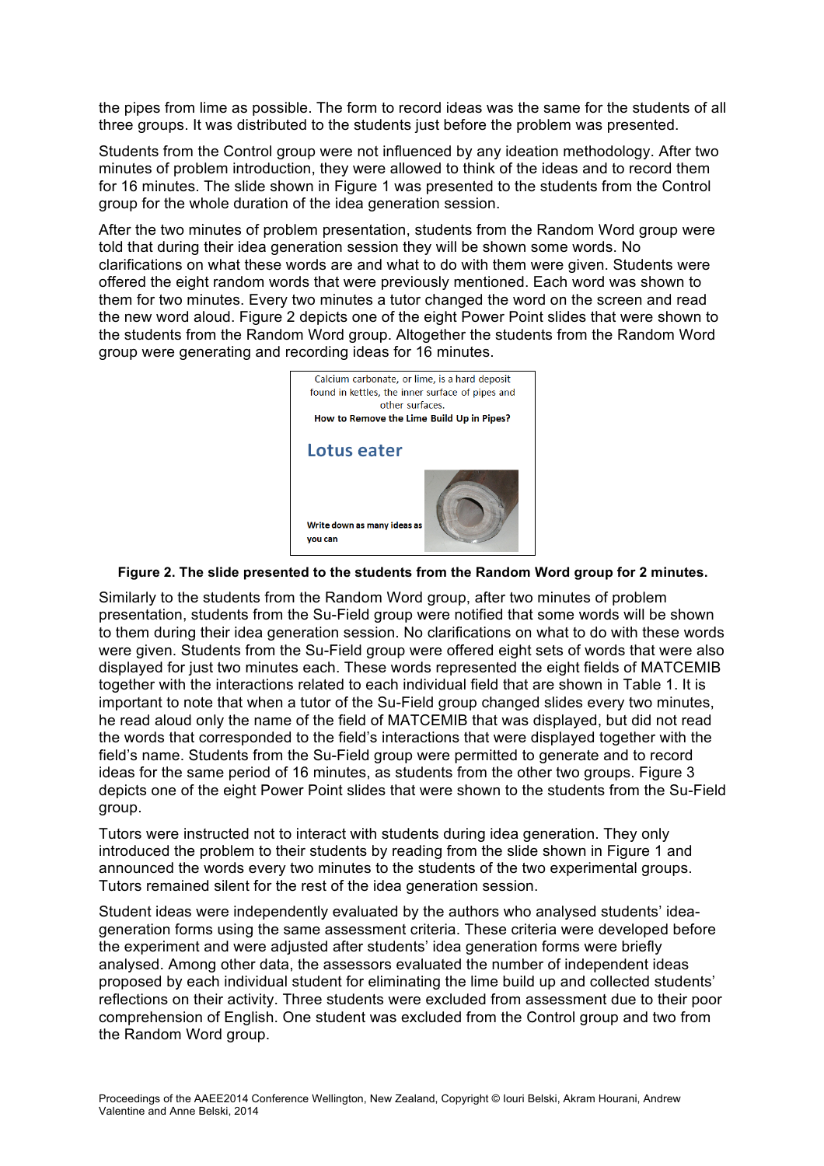the pipes from lime as possible. The form to record ideas was the same for the students of all three groups. It was distributed to the students just before the problem was presented.

Students from the Control group were not influenced by any ideation methodology. After two minutes of problem introduction, they were allowed to think of the ideas and to record them for 16 minutes. The slide shown in Figure 1 was presented to the students from the Control group for the whole duration of the idea generation session.

After the two minutes of problem presentation, students from the Random Word group were told that during their idea generation session they will be shown some words. No clarifications on what these words are and what to do with them were given. Students were offered the eight random words that were previously mentioned. Each word was shown to them for two minutes. Every two minutes a tutor changed the word on the screen and read the new word aloud. Figure 2 depicts one of the eight Power Point slides that were shown to the students from the Random Word group. Altogether the students from the Random Word group were generating and recording ideas for 16 minutes.



#### **Figure 2. The slide presented to the students from the Random Word group for 2 minutes.**

Similarly to the students from the Random Word group, after two minutes of problem presentation, students from the Su-Field group were notified that some words will be shown to them during their idea generation session. No clarifications on what to do with these words were given. Students from the Su-Field group were offered eight sets of words that were also displayed for just two minutes each. These words represented the eight fields of MATCEMIB together with the interactions related to each individual field that are shown in Table 1. It is important to note that when a tutor of the Su-Field group changed slides every two minutes, he read aloud only the name of the field of MATCEMIB that was displayed, but did not read the words that corresponded to the field's interactions that were displayed together with the field's name. Students from the Su-Field group were permitted to generate and to record ideas for the same period of 16 minutes, as students from the other two groups. Figure 3 depicts one of the eight Power Point slides that were shown to the students from the Su-Field group.

Tutors were instructed not to interact with students during idea generation. They only introduced the problem to their students by reading from the slide shown in Figure 1 and announced the words every two minutes to the students of the two experimental groups. Tutors remained silent for the rest of the idea generation session.

Student ideas were independently evaluated by the authors who analysed students' ideageneration forms using the same assessment criteria. These criteria were developed before the experiment and were adjusted after students' idea generation forms were briefly analysed. Among other data, the assessors evaluated the number of independent ideas proposed by each individual student for eliminating the lime build up and collected students' reflections on their activity. Three students were excluded from assessment due to their poor comprehension of English. One student was excluded from the Control group and two from the Random Word group.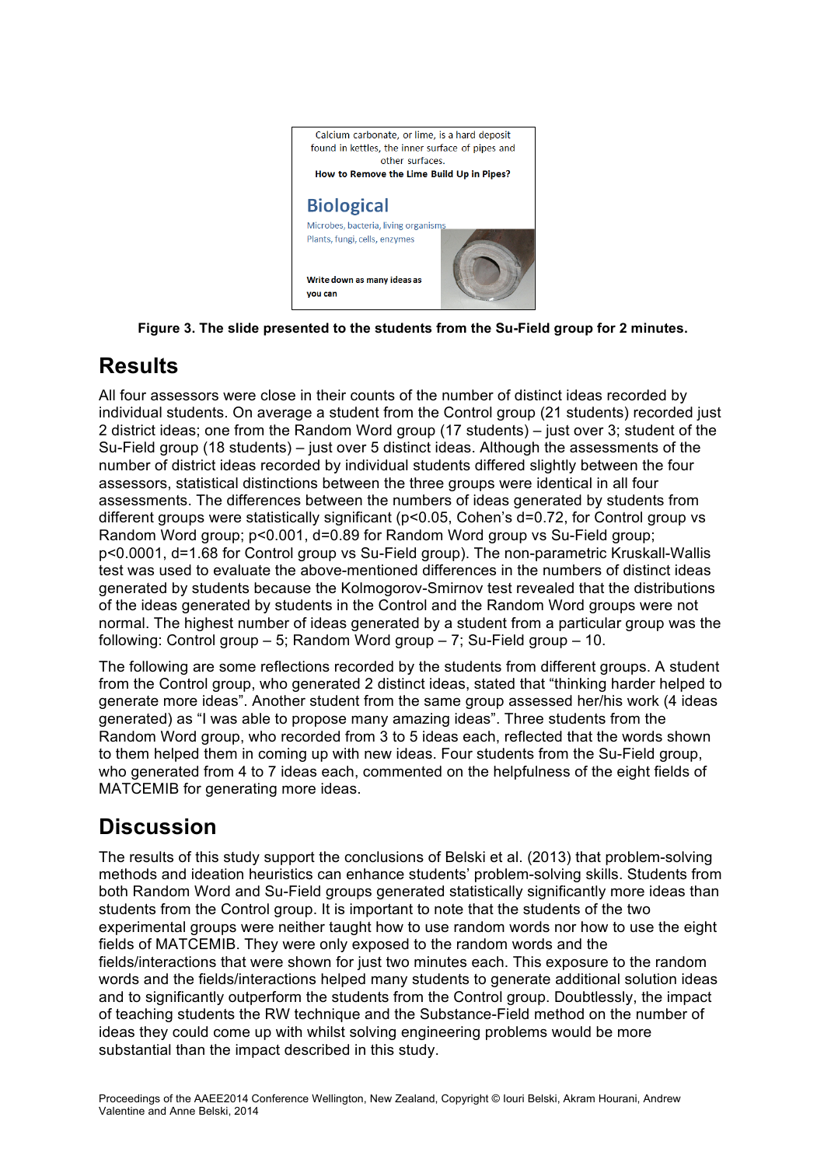

**Figure 3. The slide presented to the students from the Su-Field group for 2 minutes.**

## **Results**

All four assessors were close in their counts of the number of distinct ideas recorded by individual students. On average a student from the Control group (21 students) recorded just 2 district ideas; one from the Random Word group (17 students) – just over 3; student of the Su-Field group (18 students) – just over 5 distinct ideas. Although the assessments of the number of district ideas recorded by individual students differed slightly between the four assessors, statistical distinctions between the three groups were identical in all four assessments. The differences between the numbers of ideas generated by students from different groups were statistically significant (p<0.05, Cohen's d=0.72, for Control group vs Random Word group; p<0.001, d=0.89 for Random Word group vs Su-Field group; p<0.0001, d=1.68 for Control group vs Su-Field group). The non-parametric Kruskall-Wallis test was used to evaluate the above-mentioned differences in the numbers of distinct ideas generated by students because the Kolmogorov-Smirnov test revealed that the distributions of the ideas generated by students in the Control and the Random Word groups were not normal. The highest number of ideas generated by a student from a particular group was the following: Control group – 5; Random Word group – 7; Su-Field group – 10.

The following are some reflections recorded by the students from different groups. A student from the Control group, who generated 2 distinct ideas, stated that "thinking harder helped to generate more ideas". Another student from the same group assessed her/his work (4 ideas generated) as "I was able to propose many amazing ideas". Three students from the Random Word group, who recorded from 3 to 5 ideas each, reflected that the words shown to them helped them in coming up with new ideas. Four students from the Su-Field group, who generated from 4 to 7 ideas each, commented on the helpfulness of the eight fields of MATCEMIB for generating more ideas.

## **Discussion**

The results of this study support the conclusions of Belski et al. (2013) that problem-solving methods and ideation heuristics can enhance students' problem-solving skills. Students from both Random Word and Su-Field groups generated statistically significantly more ideas than students from the Control group. It is important to note that the students of the two experimental groups were neither taught how to use random words nor how to use the eight fields of MATCEMIB. They were only exposed to the random words and the fields/interactions that were shown for just two minutes each. This exposure to the random words and the fields/interactions helped many students to generate additional solution ideas and to significantly outperform the students from the Control group. Doubtlessly, the impact of teaching students the RW technique and the Substance-Field method on the number of ideas they could come up with whilst solving engineering problems would be more substantial than the impact described in this study.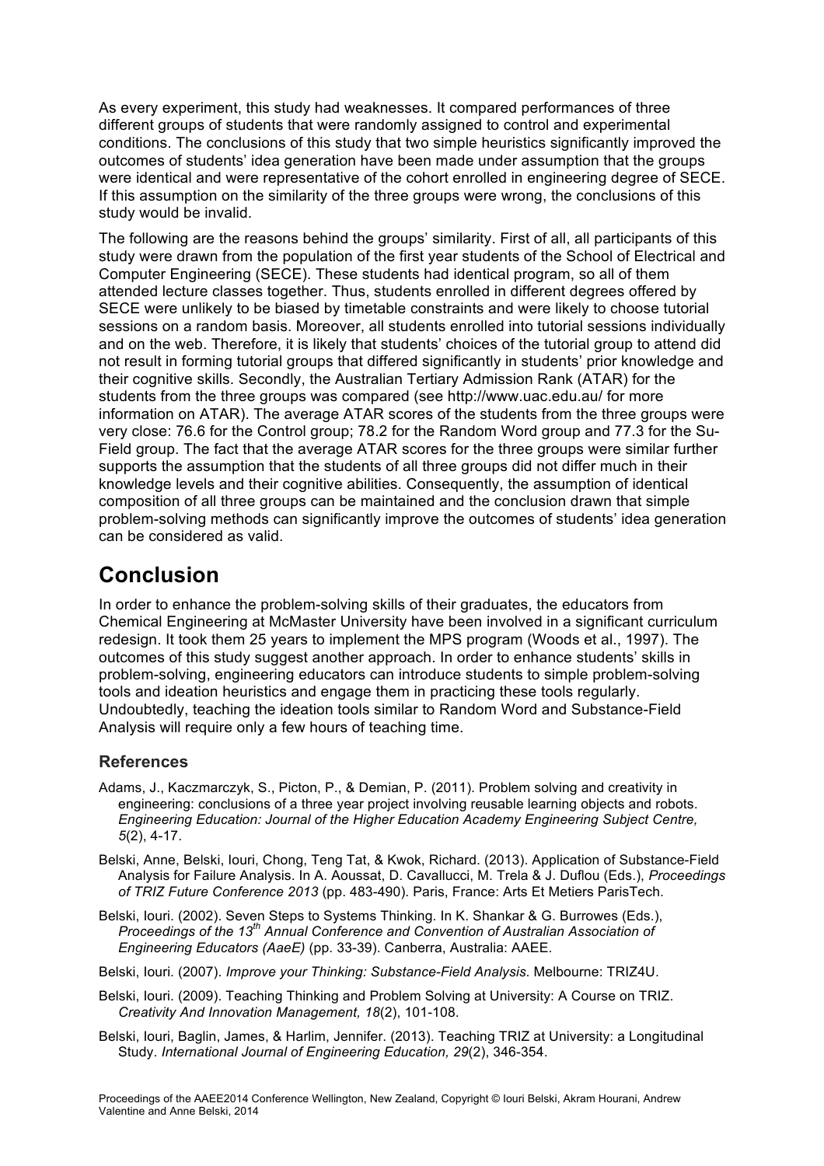As every experiment, this study had weaknesses. It compared performances of three different groups of students that were randomly assigned to control and experimental conditions. The conclusions of this study that two simple heuristics significantly improved the outcomes of students' idea generation have been made under assumption that the groups were identical and were representative of the cohort enrolled in engineering degree of SECE. If this assumption on the similarity of the three groups were wrong, the conclusions of this study would be invalid.

The following are the reasons behind the groups' similarity. First of all, all participants of this study were drawn from the population of the first year students of the School of Electrical and Computer Engineering (SECE). These students had identical program, so all of them attended lecture classes together. Thus, students enrolled in different degrees offered by SECE were unlikely to be biased by timetable constraints and were likely to choose tutorial sessions on a random basis. Moreover, all students enrolled into tutorial sessions individually and on the web. Therefore, it is likely that students' choices of the tutorial group to attend did not result in forming tutorial groups that differed significantly in students' prior knowledge and their cognitive skills. Secondly, the Australian Tertiary Admission Rank (ATAR) for the students from the three groups was compared (see http://www.uac.edu.au/ for more information on ATAR). The average ATAR scores of the students from the three groups were very close: 76.6 for the Control group; 78.2 for the Random Word group and 77.3 for the Su-Field group. The fact that the average ATAR scores for the three groups were similar further supports the assumption that the students of all three groups did not differ much in their knowledge levels and their cognitive abilities. Consequently, the assumption of identical composition of all three groups can be maintained and the conclusion drawn that simple problem-solving methods can significantly improve the outcomes of students' idea generation can be considered as valid.

# **Conclusion**

In order to enhance the problem-solving skills of their graduates, the educators from Chemical Engineering at McMaster University have been involved in a significant curriculum redesign. It took them 25 years to implement the MPS program (Woods et al., 1997). The outcomes of this study suggest another approach. In order to enhance students' skills in problem-solving, engineering educators can introduce students to simple problem-solving tools and ideation heuristics and engage them in practicing these tools regularly. Undoubtedly, teaching the ideation tools similar to Random Word and Substance-Field Analysis will require only a few hours of teaching time.

### **References**

- Adams, J., Kaczmarczyk, S., Picton, P., & Demian, P. (2011). Problem solving and creativity in engineering: conclusions of a three year project involving reusable learning objects and robots. *Engineering Education: Journal of the Higher Education Academy Engineering Subject Centre, 5*(2), 4-17.
- Belski, Anne, Belski, Iouri, Chong, Teng Tat, & Kwok, Richard. (2013). Application of Substance-Field Analysis for Failure Analysis. In A. Aoussat, D. Cavallucci, M. Trela & J. Duflou (Eds.), *Proceedings of TRIZ Future Conference 2013* (pp. 483-490). Paris, France: Arts Et Metiers ParisTech.
- Belski, Iouri. (2002). Seven Steps to Systems Thinking. In K. Shankar & G. Burrowes (Eds.), *Proceedings of the 13th Annual Conference and Convention of Australian Association of Engineering Educators (AaeE)* (pp. 33-39). Canberra, Australia: AAEE.
- Belski, Iouri. (2007). *Improve your Thinking: Substance-Field Analysis*. Melbourne: TRIZ4U.
- Belski, Iouri. (2009). Teaching Thinking and Problem Solving at University: A Course on TRIZ. *Creativity And Innovation Management, 18*(2), 101-108.
- Belski, Iouri, Baglin, James, & Harlim, Jennifer. (2013). Teaching TRIZ at University: a Longitudinal Study. *International Journal of Engineering Education, 29*(2), 346-354.